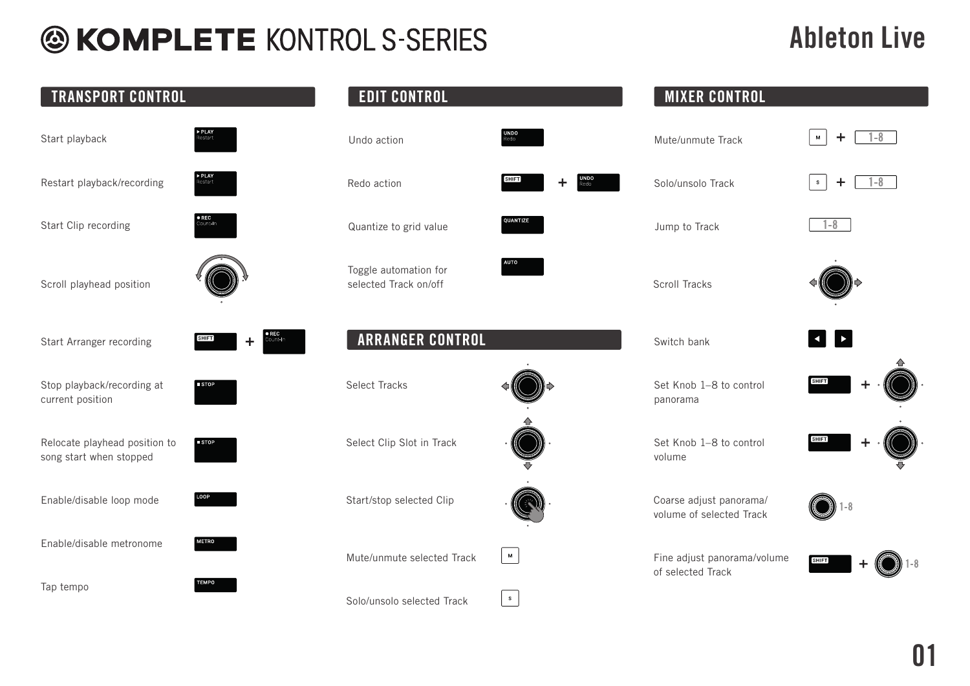#### Ableton Live

| <b>TRANSPORT CONTROL</b>                                 |                     | <b>EDIT CONTROL</b>                            |              | <b>MIXER CONTROL</b>                                |                           |
|----------------------------------------------------------|---------------------|------------------------------------------------|--------------|-----------------------------------------------------|---------------------------|
| Start playback                                           | PLAY                | Undo action                                    |              | Mute/unmute Track                                   | M<br>÷                    |
| Restart playback/recording                               |                     | Redo action                                    | <b>SHIFT</b> | Solo/unsolo Track                                   | $1 - 8$<br>$\ddot{}$<br>S |
| Start Clip recording                                     |                     | Quantize to grid value                         | QUANTIZE     | Jump to Track                                       | $1 - 8$                   |
| Scroll playhead position                                 |                     | Toggle automation for<br>selected Track on/off | <b>AUTO</b>  | <b>Scroll Tracks</b>                                |                           |
| Start Arranger recording                                 | $[$ SHIFT $]$       | <b>ARRANGER CONTROL</b>                        |              | Switch bank                                         |                           |
| Stop playback/recording at<br>current position           |                     | <b>Select Tracks</b>                           |              | Set Knob 1-8 to control<br>panorama                 | <b>SHIFT</b>              |
| Relocate playhead position to<br>song start when stopped | $\blacksquare$ STOP | Select Clip Slot in Track                      |              | Set Knob 1-8 to control<br>volume                   | <b>SHIFT</b>              |
| Enable/disable loop mode                                 |                     | Start/stop selected Clip                       |              | Coarse adjust panorama/<br>volume of selected Track |                           |
| Enable/disable metronome                                 | <b>METRO</b>        | Mute/unmute selected Track                     | $\mathsf{M}$ | Fine adjust panorama/volume                         | <b>SHIFT</b>              |
| Tap tempo                                                | <b>TEMPO</b>        | Solo/unsolo selected Track                     | S            | of selected Track                                   |                           |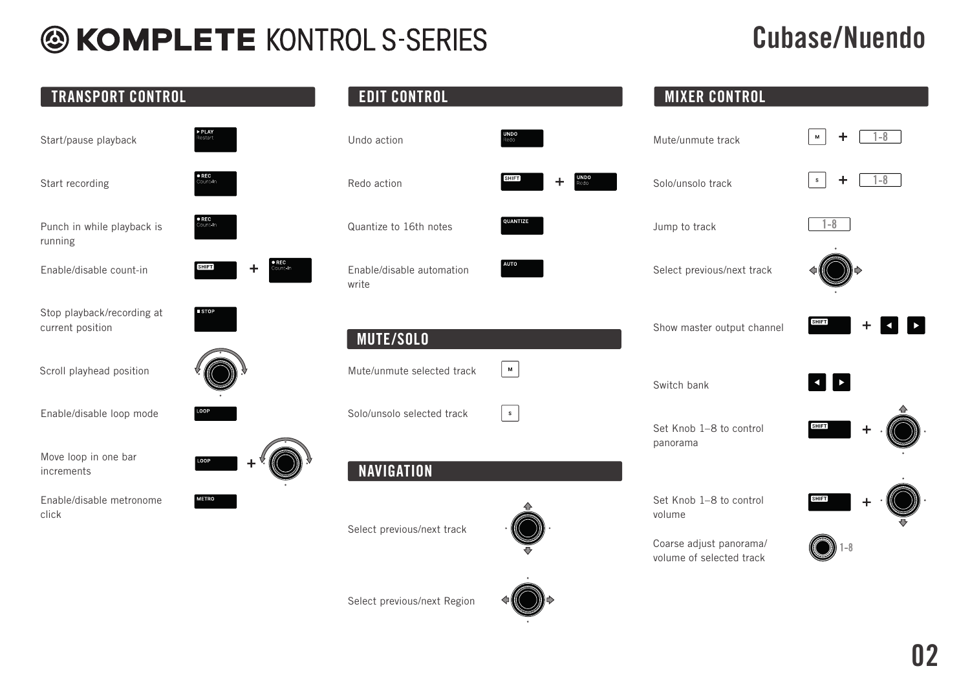### Cubase/Nuendo

| <b>TRANSPORT CONTROL</b>                       |                                  | <b>EDIT CONTROL</b>                |                                                                                                            | <b>MIXER CONTROL</b>                                |                                         |
|------------------------------------------------|----------------------------------|------------------------------------|------------------------------------------------------------------------------------------------------------|-----------------------------------------------------|-----------------------------------------|
| Start/pause playback                           | $\triangleright$ PLAY<br>Restart | Undo action                        | <b>UNDO</b><br>Redo                                                                                        | Mute/unmute track                                   | $\overline{\phantom{0}-8}$<br>٠<br>M    |
| Start recording                                | <b>QREC</b>                      | Redo action                        | <b>SHIFT</b>                                                                                               | Solo/unsolo track                                   | $\overline{\phantom{0}-8}$<br>+<br>S    |
| Punch in while playback is<br>running          | $\bullet$ REC                    | Quantize to 16th notes             | <b>QUANTIZE</b>                                                                                            | Jump to track                                       | $1 - 8$                                 |
| Enable/disable count-in                        | <b>DREC</b><br><b>SHIFT</b><br>+ | Enable/disable automation<br>write | <b>AUTO</b>                                                                                                | Select previous/next track                          |                                         |
| Stop playback/recording at<br>current position | <b>ESTOP</b>                     | <b>MUTE/SOLO</b>                   |                                                                                                            | Show master output channel                          | <b>SHIFT</b>                            |
| Scroll playhead position                       |                                  | Mute/unmute selected track         | $\mathsf{M}% _{T}=\mathsf{M}_{T}\!\left( a,b\right) ,\ \mathsf{M}_{T}=\mathsf{M}_{T}\!\left( a,b\right) ,$ | Switch bank                                         | $\blacktriangleright$<br>$\blacksquare$ |
| Enable/disable loop mode                       |                                  | Solo/unsolo selected track         | $\mathbf{s}$                                                                                               | Set Knob 1-8 to control<br>panorama                 | <b>SHIFT</b>                            |
| Move loop in one bar<br>increments             | LOOP                             | <b>NAVIGATION</b>                  |                                                                                                            |                                                     |                                         |
| Enable/disable metronome<br>click              | <b>METRO</b>                     |                                    |                                                                                                            | Set Knob 1-8 to control<br>volume                   | <b>SHIFT</b>                            |
|                                                |                                  | Select previous/next track         |                                                                                                            | Coarse adjust panorama/<br>volume of selected track |                                         |
|                                                |                                  | Select previous/next Region        |                                                                                                            |                                                     |                                         |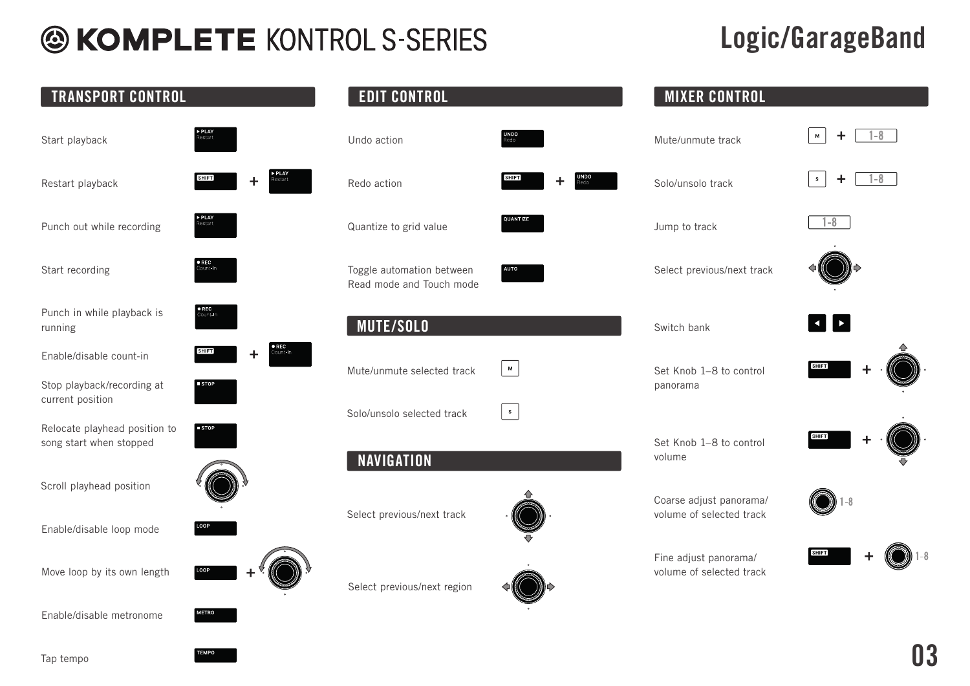### Logic/GarageBand

| <b>TRANSPORT CONTROL</b>                                 |                            | <b>EDIT CONTROL</b>                                   |                                                 | <b>MIXER CONTROL</b>                                |                                                       |
|----------------------------------------------------------|----------------------------|-------------------------------------------------------|-------------------------------------------------|-----------------------------------------------------|-------------------------------------------------------|
| Start playback                                           | <b>PLAY</b><br>estart      | Undo action                                           | <b>UNDO</b>                                     | Mute/unmute track                                   | -8<br>$\mathsf{M}% _{T}\left( \mathcal{M}_{T}\right)$ |
| Restart playback                                         | <b>SHIFT</b><br>┿          | Redo action                                           | <b>SHIFT</b><br>÷.                              | Solo/unsolo track                                   | $1 - 8$<br>$\mathbb{S}^-$<br>÷.                       |
| Punch out while recording                                |                            | Quantize to grid value                                | QUANTIZE                                        | Jump to track                                       | $1 - 8$                                               |
| Start recording                                          | • REC<br>Count- <b>i</b> n | Toggle automation between<br>Read mode and Touch mode | <b>AUTO</b>                                     | Select previous/next track                          |                                                       |
| Punch in while playback is<br>running                    | <b>TREC</b><br>Quintan     | <b>MUTE/SOLO</b>                                      |                                                 | Switch bank                                         | $\blacktriangleright$<br>$\blacktriangleleft$         |
| Enable/disable count-in                                  | <b>SHIFT</b><br>÷          | Mute/unmute selected track                            | $\mathsf{M}% _{T}\left( \mathcal{M}_{T}\right)$ | Set Knob 1-8 to control                             | <b>SHIFT</b>                                          |
| Stop playback/recording at<br>current position           | STOP                       |                                                       |                                                 | panorama                                            |                                                       |
| Relocate playhead position to<br>song start when stopped | $\blacksquare$ STOP        | Solo/unsolo selected track<br><b>NAVIGATION</b>       | $\mathbf{s}$                                    | Set Knob 1-8 to control<br>volume                   | SHIFT                                                 |
| Scroll playhead position                                 |                            |                                                       |                                                 |                                                     |                                                       |
| Enable/disable loop mode                                 |                            | Select previous/next track                            |                                                 | Coarse adjust panorama/<br>volume of selected track |                                                       |
| Move loop by its own length                              | LOOP                       | Select previous/next region                           |                                                 | Fine adjust panorama/<br>volume of selected track   | SHIFT)                                                |
| Enable/disable metronome                                 | <b>METRO</b>               |                                                       |                                                 |                                                     |                                                       |

Tap tempo

**TEMPO**